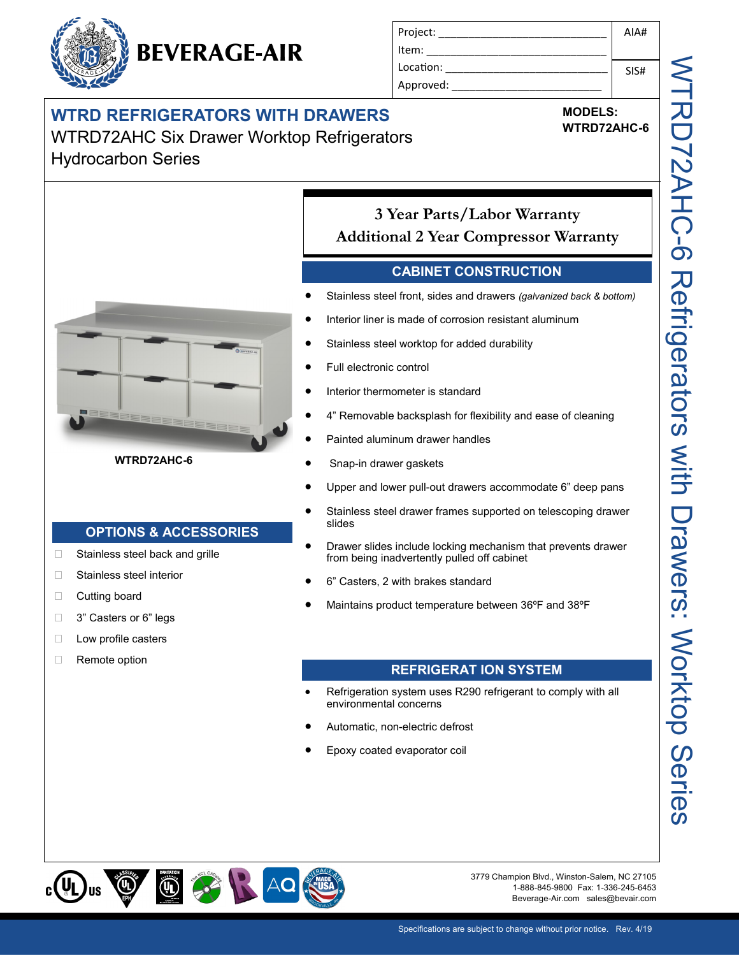# **BEVERAGE-AIR**

| Project:  | AIA# |
|-----------|------|
| Item:     |      |
| Location: | SIS# |
| Approved: |      |
|           |      |

**MODELS: WTRD72AHC-6**

### **WTRD REFRIGERATORS WITH DRAWERS** WTRD72AHC Six Drawer Worktop Refrigerators Hydrocarbon Series



**WTRD72AHC-6** 

#### **OPTIONS & ACCESSORIES**

- □ Stainless steel back and grille
- □ Stainless steel interior
- **Cutting board**
- □ 3" Casters or 6" legs
- **Low profile casters**
- Remote option

#### **3 Year Parts/Labor Warranty Additional 2 Year Compressor Warranty**

#### **CABINET CONSTRUCTION**

- Stainless steel front, sides and drawers *(galvanized back & bottom)*
- Interior liner is made of corrosion resistant aluminum
- Stainless steel worktop for added durability
- Full electronic control
- Interior thermometer is standard
- 4" Removable backsplash for flexibility and ease of cleaning
- Painted aluminum drawer handles
- Snap-in drawer gaskets
- Upper and lower pull-out drawers accommodate 6" deep pans
- Stainless steel drawer frames supported on telescoping drawer slides
- Drawer slides include locking mechanism that prevents drawer from being inadvertently pulled off cabinet
- 6" Casters, 2 with brakes standard
- Maintains product temperature between 36ºF and 38ºF

#### **REFRIGERAT ION SYSTEM**

- Refrigeration system uses R290 refrigerant to comply with all environmental concerns
- Automatic, non-electric defrost
- Epoxy coated evaporator coil



3779 Champion Blvd., Winston-Salem, NC 27105 1-888-845-9800 Fax: 1-336-245-6453 Beverage-Air.com sales@bevair.com